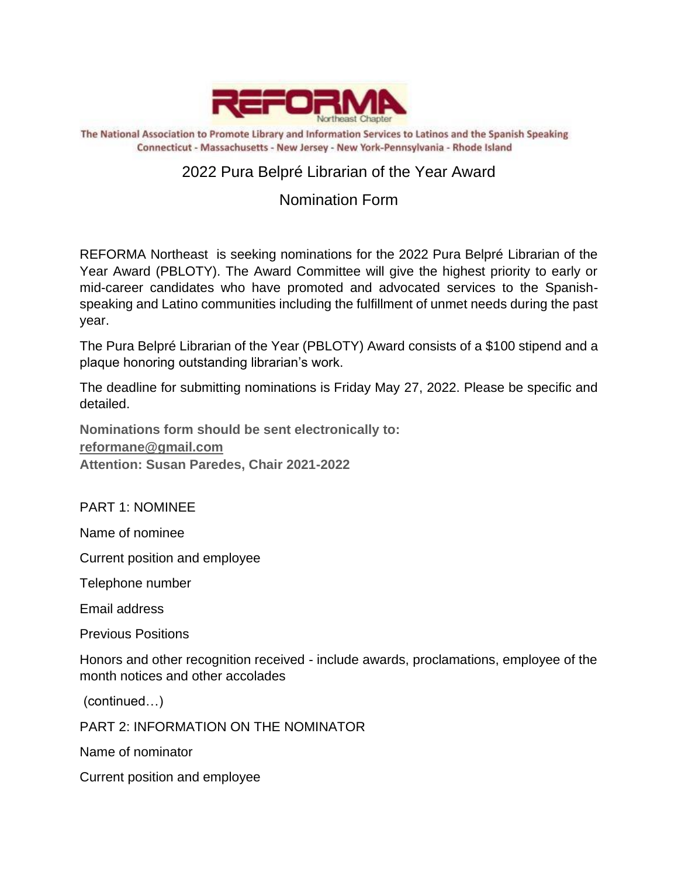

The National Association to Promote Library and Information Services to Latinos and the Spanish Speaking Connecticut - Massachusetts - New Jersey - New York-Pennsylvania - Rhode Island

## 2022 Pura Belpré Librarian of the Year Award

## Nomination Form

REFORMA Northeast is seeking nominations for the 2022 Pura Belpré Librarian of the Year Award (PBLOTY). The Award Committee will give the highest priority to early or mid-career candidates who have promoted and advocated services to the Spanishspeaking and Latino communities including the fulfillment of unmet needs during the past year.

The Pura Belpré Librarian of the Year (PBLOTY) Award consists of a \$100 stipend and a plaque honoring outstanding librarian's work.

The deadline for submitting nominations is Friday May 27, 2022. Please be specific and detailed.

**Nominations form should be sent electronically to: [reformane@gmail.com](mailto:reformane@gmail.com) Attention: Susan Paredes, Chair 2021-2022**

PART 1: NOMINEE

Name of nominee

Current position and employee

Telephone number

Email address

Previous Positions

Honors and other recognition received - include awards, proclamations, employee of the month notices and other accolades

(continued…)

PART 2: INFORMATION ON THE NOMINATOR

Name of nominator

Current position and employee